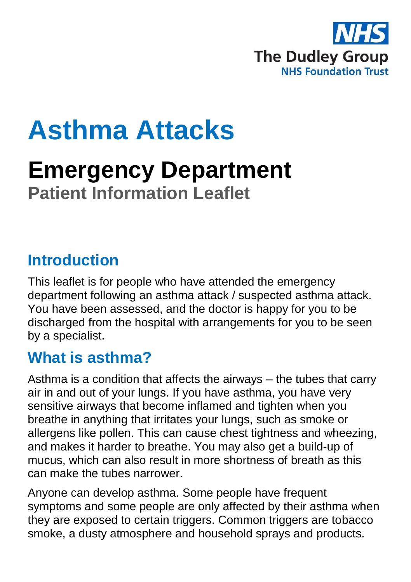

# **Asthma Attacks**

# **Emergency Department Patient Information Leaflet**

#### **Introduction**

This leaflet is for people who have attended the emergency department following an asthma attack / suspected asthma attack. You have been assessed, and the doctor is happy for you to be discharged from the hospital with arrangements for you to be seen by a specialist.

#### **What is asthma?**

Asthma is a condition that affects the airways – the tubes that carry air in and out of your lungs. If you have asthma, you have very sensitive airways that become inflamed and tighten when you breathe in anything that irritates your lungs, such as smoke or allergens like pollen. This can cause chest tightness and wheezing, and makes it harder to breathe. You may also get a build-up of mucus, which can also result in more shortness of breath as this can make the tubes narrower.

Anyone can develop asthma. Some people have frequent symptoms and some people are only affected by their asthma when they are exposed to certain triggers. Common triggers are tobacco smoke, a dusty atmosphere and household sprays and products.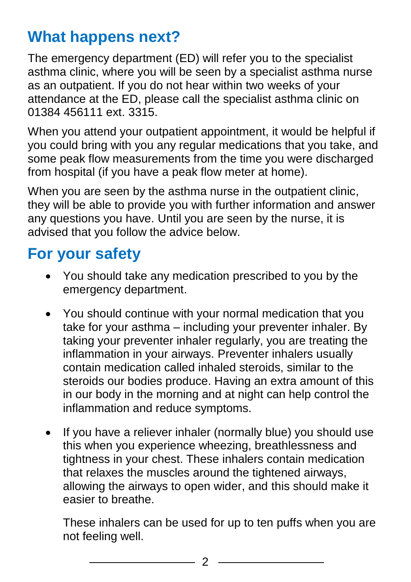# **What happens next?**

The emergency department (ED) will refer you to the specialist asthma clinic, where you will be seen by a specialist asthma nurse as an outpatient. If you do not hear within two weeks of your attendance at the ED, please call the specialist asthma clinic on 01384 456111 ext. 3315.

When you attend your outpatient appointment, it would be helpful if you could bring with you any regular medications that you take, and some peak flow measurements from the time you were discharged from hospital (if you have a peak flow meter at home).

When you are seen by the asthma nurse in the outpatient clinic, they will be able to provide you with further information and answer any questions you have. Until you are seen by the nurse, it is advised that you follow the advice below.

## **For your safety**

- You should take any medication prescribed to you by the emergency department.
- You should continue with your normal medication that you take for your asthma – including your preventer inhaler. By taking your preventer inhaler regularly, you are treating the inflammation in your airways. Preventer inhalers usually contain medication called inhaled steroids, similar to the steroids our bodies produce. Having an extra amount of this in our body in the morning and at night can help control the inflammation and reduce symptoms.
- If you have a reliever inhaler (normally blue) you should use this when you experience wheezing, breathlessness and tightness in your chest. These inhalers contain medication that relaxes the muscles around the tightened airways, allowing the airways to open wider, and this should make it easier to breathe.

These inhalers can be used for up to ten puffs when you are not feeling well.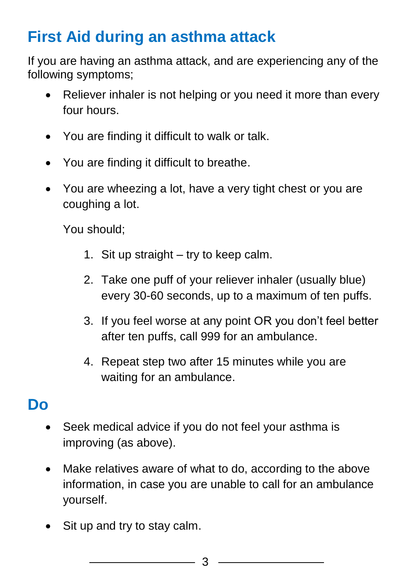# **First Aid during an asthma attack**

If you are having an asthma attack, and are experiencing any of the following symptoms;

- Reliever inhaler is not helping or you need it more than every four hours.
- You are finding it difficult to walk or talk.
- You are finding it difficult to breathe.
- You are wheezing a lot, have a very tight chest or you are coughing a lot.

You should;

- 1. Sit up straight try to keep calm.
- 2. Take one puff of your reliever inhaler (usually blue) every 30-60 seconds, up to a maximum of ten puffs.
- 3. If you feel worse at any point OR you don't feel better after ten puffs, call 999 for an ambulance.
- 4. Repeat step two after 15 minutes while you are waiting for an ambulance.

# **Do**

- Seek medical advice if you do not feel your asthma is improving (as above).
- Make relatives aware of what to do, according to the above information, in case you are unable to call for an ambulance yourself.
- Sit up and try to stay calm.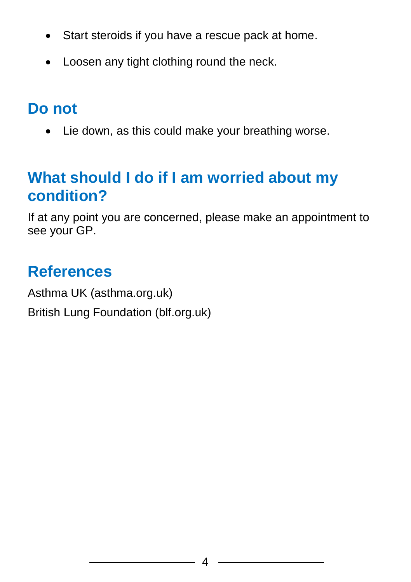- Start steroids if you have a rescue pack at home.
- Loosen any tight clothing round the neck.

# **Do not**

• Lie down, as this could make your breathing worse.

# **What should I do if I am worried about my condition?**

If at any point you are concerned, please make an appointment to see your GP.

# **References**

Asthma UK (asthma.org.uk) British Lung Foundation (blf.org.uk)